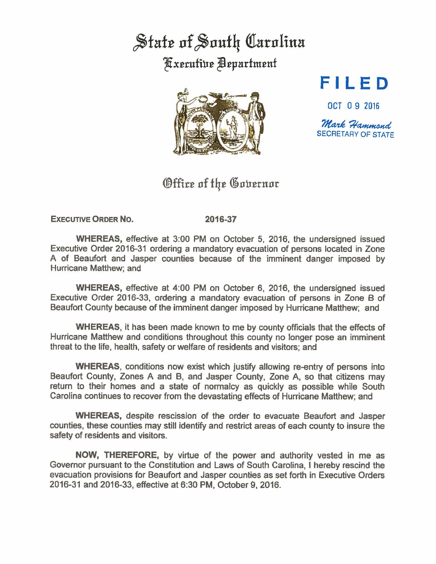## State of South Carolina **Kxecutive Department**



## **FILED**

OCT O 9 2016

Mark Hammond SECRETARY OF STATE

## Office of the Governor

**EXECUTIVE ORDER No. 2016-37** 

**WHEREAS,** effective at 3:00 PM on October 5, 2016, the undersigned issued Executive Order 2016-31 ordering a mandatory evacuation of persons located in Zone A of Beaufort and Jasper counties because of the imminent danger imposed by Hurricane Matthew; and

**WHEREAS,** effective at 4:00 PM on October 6, 2016, the undersigned issued Executive Order 2016-33, ordering a mandatory evacuation of persons in Zone B of Beaufort County because of the imminent danger imposed by Hurricane Matthew; and

**WHEREAS,** it has been made known to me by county officials that the effects of Hurricane Matthew and conditions throughout this county no longer pose an imminent threat to the life, health, safety or welfare of residents and visitors; and

**WHEREAS,** conditions now exist which justify allowing re-entry of persons into Beaufort County, Zones A and B, and Jasper County, Zone A, so that citizens may return to their homes and a state of normalcy as quickly as possible while South Carolina continues to recover from the devastating effects of Hurricane Matthew; and

**WHEREAS,** despite rescission of the order to evacuate Beaufort and Jasper counties, these counties may still identify and restrict areas of each county to insure the safety of residents and visitors.

**NOW,** THEREFORE, by virtue of the power and authority vested in me as Governor pursuant to the Constitution and Laws of South Carolina, I hereby rescind the evacuation provisions for Beaufort and Jasper counties as set forth in Executive Orders 2016-31 and 2016-33, effective at 6:30 PM, October 9, 2016.